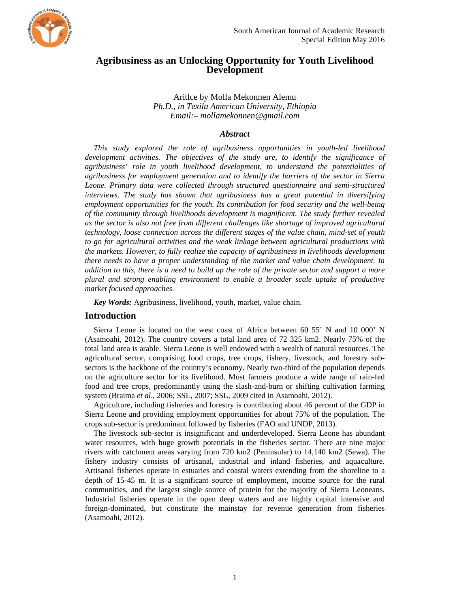

# **Agribusiness as an Unlocking Opportunity for Youth Livelihood Development**

## Aritlce by Molla Mekonnen Alemu *Ph.D., in Texila American University, Ethiopia Email:– mollamekonnen@gmail.com*

#### *Abstract*

*This study explored the role of agribusiness opportunities in youth-led livelihood development activities. The objectives of the study are, to identify the significance of agribusiness' role in youth livelihood development, to understand the potentialities of agribusiness for employment generation and to identify the barriers of the sector in Sierra Leone. Primary data were collected through structured questionnaire and semi-structured interviews. The study has shown that agribusiness has a great potential in diversifying employment opportunities for the youth. Its contribution for food security and the well-being of the community through livelihoods development is magnificent. The study further revealed as the sector is also not free from different challenges like shortage of improved agricultural technology, loose connection across the different stages of the value chain, mind-set of youth to go for agricultural activities and the weak linkage between agricultural productions with the markets. However, to fully realize the capacity of agribusiness in livelihoods development there needs to have a proper understanding of the market and value chain development. In addition to this, there is a need to build up the role of the private sector and support a more plural and strong enabling environment to enable a broader scale uptake of productive market focused approaches.* 

*Key Words:* Agribusiness, livelihood, youth, market, value chain.

## **Introduction**

Sierra Leone is located on the west coast of Africa between 60 55' N and 10 000' N (Asamoahi, 2012). The country covers a total land area of 72 325 km2. Nearly 75% of the total land area is arable. Sierra Leone is well endowed with a wealth of natural resources. The agricultural sector, comprising food crops, tree crops, fishery, livestock, and forestry subsectors is the backbone of the country's economy. Nearly two-third of the population depends on the agriculture sector for its livelihood. Most farmers produce a wide range of rain-fed food and tree crops, predominantly using the slash-and-burn or shifting cultivation farming system (Braima *et al*., 2006; SSL, 2007; SSL, 2009 cited in Asamoahi, 2012).

Agriculture, including fisheries and forestry is contributing about 46 percent of the GDP in Sierra Leone and providing employment opportunities for about 75% of the population. The crops sub-sector is predominant followed by fisheries (FAO and UNDP, 2013).

The livestock sub-sector is insignificant and underdeveloped. Sierra Leone has abundant water resources, with huge growth potentials in the fisheries sector. There are nine major rivers with catchment areas varying from 720 km2 (Peninsular) to 14,140 km2 (Sewa). The fishery industry consists of artisanal, industrial and inland fisheries, and aquaculture. Artisanal fisheries operate in estuaries and coastal waters extending from the shoreline to a depth of 15-45 m. It is a significant source of employment, income source for the rural communities, and the largest single source of protein for the majority of Sierra Leoneans. Industrial fisheries operate in the open deep waters and are highly capital intensive and foreign-dominated, but constitute the mainstay for revenue generation from fisheries (Asamoahi, 2012).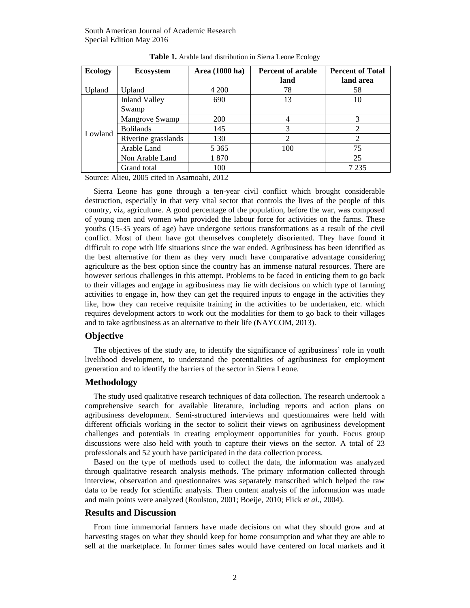| <b>Ecology</b> | <b>Ecosystem</b>     | Area (1000 ha) | <b>Percent of arable</b> | <b>Percent of Total</b> |
|----------------|----------------------|----------------|--------------------------|-------------------------|
|                |                      |                | land                     | land area               |
| Upland         | Upland               | 4 200          | 78                       | 58                      |
| Lowland        | <b>Inland Valley</b> | 690            | 13                       | 10                      |
|                | Swamp                |                |                          |                         |
|                | Mangrove Swamp       | <b>200</b>     | 4                        |                         |
|                | <b>Bolilands</b>     | 145            | 3                        |                         |
|                | Riverine grasslands  | 130            | 2                        |                         |
|                | Arable Land          | 5 3 6 5        | 100                      | 75                      |
|                | Non Arable Land      | 1870           |                          | 25                      |
|                | Grand total          | 100            |                          | 7 2 3 5                 |

**Table 1.** Arable land distribution in Sierra Leone Ecology

Source: Alieu, 2005 cited in Asamoahi, 2012

Sierra Leone has gone through a ten-year civil conflict which brought considerable destruction, especially in that very vital sector that controls the lives of the people of this country, viz, agriculture. A good percentage of the population, before the war, was composed of young men and women who provided the labour force for activities on the farms. These youths (15-35 years of age) have undergone serious transformations as a result of the civil conflict. Most of them have got themselves completely disoriented. They have found it difficult to cope with life situations since the war ended. Agribusiness has been identified as the best alternative for them as they very much have comparative advantage considering agriculture as the best option since the country has an immense natural resources. There are however serious challenges in this attempt. Problems to be faced in enticing them to go back to their villages and engage in agribusiness may lie with decisions on which type of farming activities to engage in, how they can get the required inputs to engage in the activities they like, how they can receive requisite training in the activities to be undertaken, etc. which requires development actors to work out the modalities for them to go back to their villages and to take agribusiness as an alternative to their life (NAYCOM, 2013).

#### **Objective**

The objectives of the study are, to identify the significance of agribusiness' role in youth livelihood development, to understand the potentialities of agribusiness for employment generation and to identify the barriers of the sector in Sierra Leone.

#### **Methodology**

The study used qualitative research techniques of data collection. The research undertook a comprehensive search for available literature, including reports and action plans on agribusiness development. Semi-structured interviews and questionnaires were held with different officials working in the sector to solicit their views on agribusiness development challenges and potentials in creating employment opportunities for youth. Focus group discussions were also held with youth to capture their views on the sector. A total of 23 professionals and 52 youth have participated in the data collection process.

Based on the type of methods used to collect the data, the information was analyzed through qualitative research analysis methods. The primary information collected through interview, observation and questionnaires was separately transcribed which helped the raw data to be ready for scientific analysis. Then content analysis of the information was made and main points were analyzed (Roulston, 2001; Boeije, 2010; Flick *et al*., 2004).

#### **Results and Discussion**

From time immemorial farmers have made decisions on what they should grow and at harvesting stages on what they should keep for home consumption and what they are able to sell at the marketplace. In former times sales would have centered on local markets and it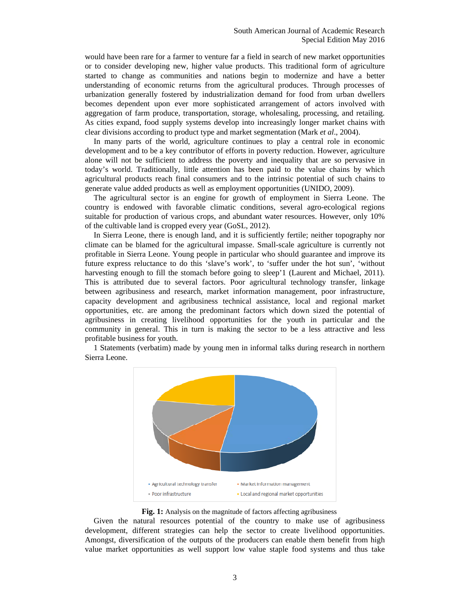would have been rare for a farmer to venture far a field in search of new market opportunities or to consider developing new, higher value products. This traditional form of agriculture started to change as communities and nations begin to modernize and have a better understanding of economic returns from the agricultural produces. Through processes of urbanization generally fostered by industrialization demand for food from urban dwellers becomes dependent upon ever more sophisticated arrangement of actors involved with aggregation of farm produce, transportation, storage, wholesaling, processing, and retailing. As cities expand, food supply systems develop into increasingly longer market chains with clear divisions according to product type and market segmentation (Mark *et al*., 2004).

In many parts of the world, agriculture continues to play a central role in economic development and to be a key contributor of efforts in poverty reduction. However, agriculture alone will not be sufficient to address the poverty and inequality that are so pervasive in today's world. Traditionally, little attention has been paid to the value chains by which agricultural products reach final consumers and to the intrinsic potential of such chains to generate value added products as well as employment opportunities (UNIDO, 2009).

The agricultural sector is an engine for growth of employment in Sierra Leone. The country is endowed with favorable climatic conditions, several agro-ecological regions suitable for production of various crops, and abundant water resources. However, only 10% of the cultivable land is cropped every year (GoSL, 2012).

In Sierra Leone, there is enough land, and it is sufficiently fertile; neither topography nor climate can be blamed for the agricultural impasse. Small-scale agriculture is currently not profitable in Sierra Leone. Young people in particular who should guarantee and improve its future express reluctance to do this 'slave's work', to 'suffer under the hot sun', 'without harvesting enough to fill the stomach before going to sleep'1 (Laurent and Michael, 2011). This is attributed due to several factors. Poor agricultural technology transfer, linkage between agribusiness and research, market information management, poor infrastructure, capacity development and agribusiness technical assistance, local and regional market opportunities, etc. are among the predominant factors which down sized the potential of agribusiness in creating livelihood opportunities for the youth in particular and the community in general. This in turn is making the sector to be a less attractive and less profitable business for youth.

1 Statements (verbatim) made by young men in informal talks during research in northern Sierra Leone.



#### Fig. 1: Analysis on the magnitude of factors affecting agribusiness

Given the natural resources potential of the country to make use of agribusiness development, different strategies can help the sector to create livelihood opportunities. Amongst, diversification of the outputs of the producers can enable them benefit from high value market opportunities as well support low value staple food systems and thus take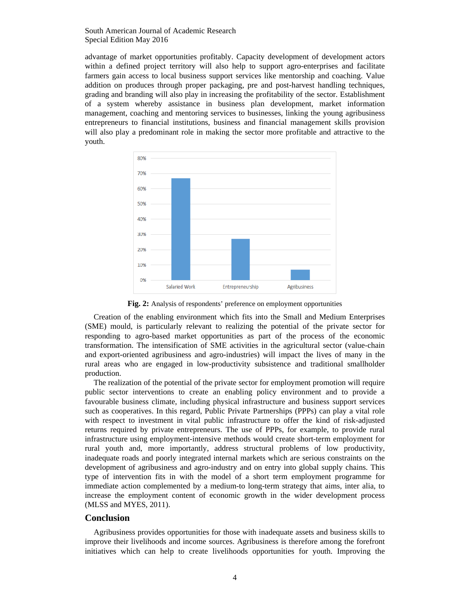South American Journal of Academic Research Special Edition May 2016

advantage of market opportunities profitably. Capacity development of development actors within a defined project territory will also help to support agro-enterprises and facilitate farmers gain access to local business support services like mentorship and coaching. Value addition on produces through proper packaging, pre and post-harvest handling techniques, grading and branding will also play in increasing the profitability of the sector. Establishment of a system whereby assistance in business plan development, market information management, coaching and mentoring services to businesses, linking the young agribusiness entrepreneurs to financial institutions, business and financial management skills provision will also play a predominant role in making the sector more profitable and attractive to the youth.



**Fig. 2:** Analysis of respondents' preference on employment opportunities

Creation of the enabling environment which fits into the Small and Medium Enterprises (SME) mould, is particularly relevant to realizing the potential of the private sector for responding to agro-based market opportunities as part of the process of the economic transformation. The intensification of SME activities in the agricultural sector (value-chain and export-oriented agribusiness and agro-industries) will impact the lives of many in the rural areas who are engaged in low-productivity subsistence and traditional smallholder production.

The realization of the potential of the private sector for employment promotion will require public sector interventions to create an enabling policy environment and to provide a favourable business climate, including physical infrastructure and business support services such as cooperatives. In this regard, Public Private Partnerships (PPPs) can play a vital role with respect to investment in vital public infrastructure to offer the kind of risk-adjusted returns required by private entrepreneurs. The use of PPPs, for example, to provide rural infrastructure using employment-intensive methods would create short-term employment for rural youth and, more importantly, address structural problems of low productivity, inadequate roads and poorly integrated internal markets which are serious constraints on the development of agribusiness and agro-industry and on entry into global supply chains. This type of intervention fits in with the model of a short term employment programme for immediate action complemented by a medium-to long-term strategy that aims, inter alia, to increase the employment content of economic growth in the wider development process (MLSS and MYES, 2011).

#### **Conclusion**

Agribusiness provides opportunities for those with inadequate assets and business skills to improve their livelihoods and income sources. Agribusiness is therefore among the forefront initiatives which can help to create livelihoods opportunities for youth. Improving the